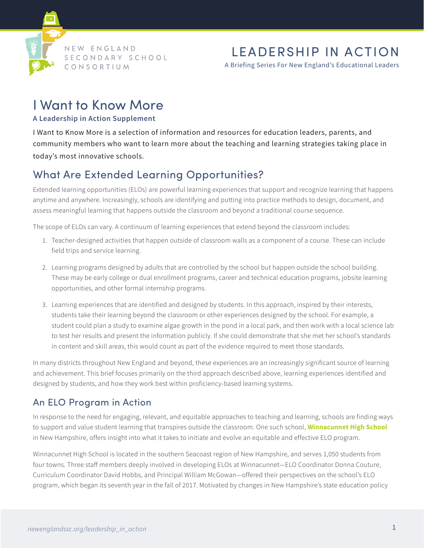

# LEADERSHIP IN ACTION

A Briefing Series For New England's Educational Leaders

# I Want to Know More

#### **A Leadership in Action Supplement**

I Want to Know More is a selection of information and resources for education leaders, parents, and community members who want to learn more about the teaching and learning strategies taking place in today's most innovative schools.

# What Are Extended Learning Opportunities?

Extended learning opportunities (ELOs) are powerful learning experiences that support and recognize learning that happens anytime and anywhere. Increasingly, schools are identifying and putting into practice methods to design, document, and assess meaningful learning that happens outside the classroom and beyond a traditional course sequence.

The scope of ELOs can vary. A continuum of learning experiences that extend beyond the classroom includes:

- 1. Teacher-designed activities that happen outside of classroom walls as a component of a course. These can include field trips and service learning.
- 2. Learning programs designed by adults that are controlled by the school but happen outside the school building. These may be early college or dual enrollment programs, career and technical education programs, jobsite learning opportunities, and other formal internship programs.
- 3. Learning experiences that are identified and designed by students. In this approach, inspired by their interests, students take their learning beyond the classroom or other experiences designed by the school. For example, a student could plan a study to examine algae growth in the pond in a local park, and then work with a local science lab to test her results and present the information publicly. If she could demonstrate that she met her school's standards in content and skill areas, this would count as part of the evidence required to meet those standards.

In many districts throughout New England and beyond, these experiences are an increasingly significant source of learning and achievement. This brief focuses primarily on the third approach described above, learning experiences identified and designed by students, and how they work best within proficiency-based learning systems.

# An ELO Program in Action

In response to the need for engaging, relevant, and equitable approaches to teaching and learning, schools are finding ways to support and value student learning that transpires outside the classroom. One such school, **[Winnacunnet High School](http://www.winnacunnet.org/)** in New Hampshire, offers insight into what it takes to initiate and evolve an equitable and effective ELO program.

Winnacunnet High School is located in the southern Seacoast region of New Hampshire, and serves 1,050 students from four towns. Three staff members deeply involved in developing ELOs at Winnacunnet—ELO Coordinator Donna Couture, Curriculum Coordinator David Hobbs, and Principal William McGowan—offered their perspectives on the school's ELO program, which began its seventh year in the fall of 2017. Motivated by changes in New Hampshire's state education policy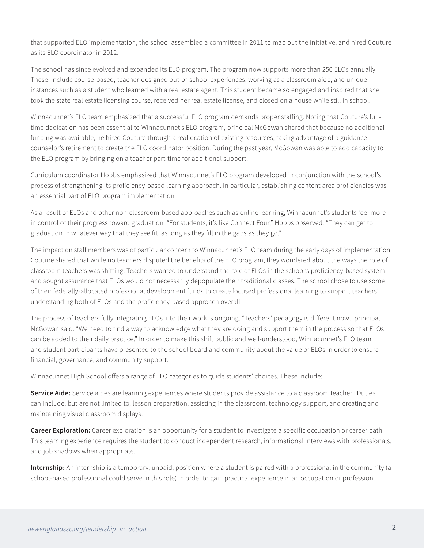that supported ELO implementation, the school assembled a committee in 2011 to map out the initiative, and hired Couture as its ELO coordinator in 2012.

The school has since evolved and expanded its ELO program. The program now supports more than 250 ELOs annually. These include course-based, teacher-designed out-of-school experiences, working as a classroom aide, and unique instances such as a student who learned with a real estate agent. This student became so engaged and inspired that she took the state real estate licensing course, received her real estate license, and closed on a house while still in school.

Winnacunnet's ELO team emphasized that a successful ELO program demands proper staffing. Noting that Couture's fulltime dedication has been essential to Winnacunnet's ELO program, principal McGowan shared that because no additional funding was available, he hired Couture through a reallocation of existing resources, taking advantage of a guidance counselor's retirement to create the ELO coordinator position. During the past year, McGowan was able to add capacity to the ELO program by bringing on a teacher part-time for additional support.

Curriculum coordinator Hobbs emphasized that Winnacunnet's ELO program developed in conjunction with the school's process of strengthening its proficiency-based learning approach. In particular, establishing content area proficiencies was an essential part of ELO program implementation.

As a result of ELOs and other non-classroom-based approaches such as online learning, Winnacunnet's students feel more in control of their progress toward graduation. "For students, it's like Connect Four," Hobbs observed. "They can get to graduation in whatever way that they see fit, as long as they fill in the gaps as they go."

The impact on staff members was of particular concern to Winnacunnet's ELO team during the early days of implementation. Couture shared that while no teachers disputed the benefits of the ELO program, they wondered about the ways the role of classroom teachers was shifting. Teachers wanted to understand the role of ELOs in the school's proficiency-based system and sought assurance that ELOs would not necessarily depopulate their traditional classes. The school chose to use some of their federally-allocated professional development funds to create focused professional learning to support teachers' understanding both of ELOs and the proficiency-based approach overall.

The process of teachers fully integrating ELOs into their work is ongoing. "Teachers' pedagogy is different now," principal McGowan said. "We need to find a way to acknowledge what they are doing and support them in the process so that ELOs can be added to their daily practice." In order to make this shift public and well-understood, Winnacunnet's ELO team and student participants have presented to the school board and community about the value of ELOs in order to ensure financial, governance, and community support.

Winnacunnet High School offers a range of ELO categories to guide students' choices. These include:

**Service Aide:** Service aides are learning experiences where students provide assistance to a classroom teacher. Duties can include, but are not limited to, lesson preparation, assisting in the classroom, technology support, and creating and maintaining visual classroom displays.

**Career Exploration:** Career exploration is an opportunity for a student to investigate a specific occupation or career path. This learning experience requires the student to conduct independent research, informational interviews with professionals, and job shadows when appropriate.

**Internship:** An internship is a temporary, unpaid, position where a student is paired with a professional in the community (a school-based professional could serve in this role) in order to gain practical experience in an occupation or profession.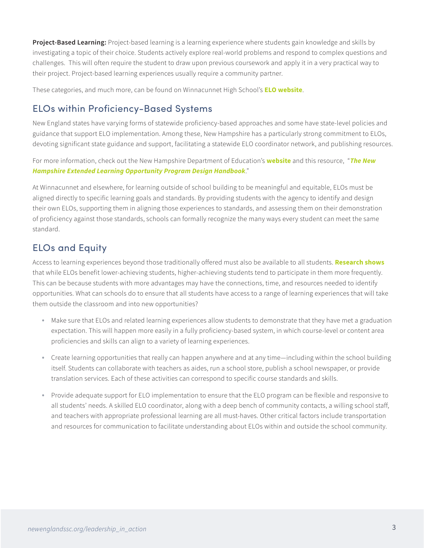**Project-Based Learning:** Project-based learning is a learning experience where students gain knowledge and skills by investigating a topic of their choice. Students actively explore real-world problems and respond to complex questions and challenges. This will often require the student to draw upon previous coursework and apply it in a very practical way to their project. Project-based learning experiences usually require a community partner.

These categories, and much more, can be found on Winnacunnet High School's **[ELO website](https://sites.google.com/a/warriors.winnacunnet.org/elo/)**.

#### ELOs within Proficiency-Based Systems

New England states have varying forms of statewide proficiency-based approaches and some have state-level policies and guidance that support ELO implementation. Among these, New Hampshire has a particularly strong commitment to ELOs, devoting significant state guidance and support, facilitating a statewide ELO coordinator network, and publishing resources.

For more information, check out the New Hampshire Department of Education's **[website](https://www.education.nh.gov/innovations/elo)** and this resource, "*[The New](https://drive.google.com/file/d/0B7DN5HRje-OWa0dwN2plS0pXYXM/view%3Fpref%3D2%26pli%3D1)  [Hampshire Extended Learning Opportunity Program Design Handbook](https://drive.google.com/file/d/0B7DN5HRje-OWa0dwN2plS0pXYXM/view%3Fpref%3D2%26pli%3D1)*."

At Winnacunnet and elsewhere, for learning outside of school building to be meaningful and equitable, ELOs must be aligned directly to specific learning goals and standards. By providing students with the agency to identify and design their own ELOs, supporting them in aligning those experiences to standards, and assessing them on their demonstration of proficiency against those standards, schools can formally recognize the many ways every student can meet the same standard.

### ELOs and Equity

Access to learning experiences beyond those traditionally offered must also be available to all students. **[Research shows](https://www.nmefoundation.org/resources/student-centered-learning/results-from-a-two-year-study-of-the-effects-of-ex)** that while ELOs benefit lower-achieving students, higher-achieving students tend to participate in them more frequently. This can be because students with more advantages may have the connections, time, and resources needed to identify opportunities. What can schools do to ensure that all students have access to a range of learning experiences that will take them outside the classroom and into new opportunities?

- • Make sure that ELOs and related learning experiences allow students to demonstrate that they have met a graduation expectation. This will happen more easily in a fully proficiency-based system, in which course-level or content area proficiencies and skills can align to a variety of learning experiences.
- • Create learning opportunities that really can happen anywhere and at any time—including within the school building itself. Students can collaborate with teachers as aides, run a school store, publish a school newspaper, or provide translation services. Each of these activities can correspond to specific course standards and skills.
- • Provide adequate support for ELO implementation to ensure that the ELO program can be flexible and responsive to all students' needs. A skilled ELO coordinator, along with a deep bench of community contacts, a willing school staff, and teachers with appropriate professional learning are all must-haves. Other critical factors include transportation and resources for communication to facilitate understanding about ELOs within and outside the school community.